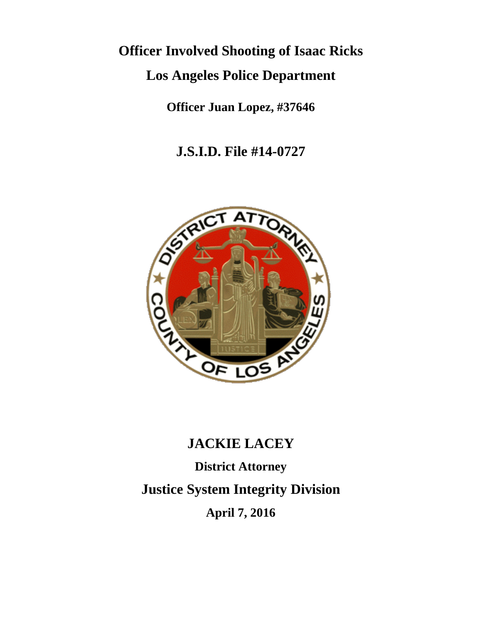# **Officer Involved Shooting of Isaac Ricks**

## **Los Angeles Police Department**

**Officer Juan Lopez, #37646**

**J.S.I.D. File #14-0727**



### **JACKIE LACEY**

**District Attorney Justice System Integrity Division April 7, 2016**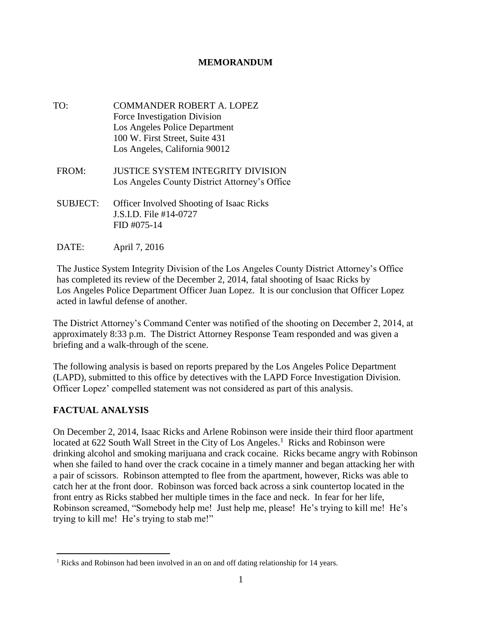#### **MEMORANDUM**

- TO: COMMANDER ROBERT A. LOPEZ Force Investigation Division Los Angeles Police Department 100 W. First Street, Suite 431 Los Angeles, California 90012
- FROM: JUSTICE SYSTEM INTEGRITY DIVISION Los Angeles County District Attorney's Office
- SUBJECT: Officer Involved Shooting of Isaac Ricks J.S.I.D. File #14-0727 FID #075-14
- DATE: April 7, 2016

The Justice System Integrity Division of the Los Angeles County District Attorney's Office has completed its review of the December 2, 2014, fatal shooting of Isaac Ricks by Los Angeles Police Department Officer Juan Lopez. It is our conclusion that Officer Lopez acted in lawful defense of another.

The District Attorney's Command Center was notified of the shooting on December 2, 2014, at approximately 8:33 p.m. The District Attorney Response Team responded and was given a briefing and a walk-through of the scene.

The following analysis is based on reports prepared by the Los Angeles Police Department (LAPD), submitted to this office by detectives with the LAPD Force Investigation Division. Officer Lopez' compelled statement was not considered as part of this analysis.

#### **FACTUAL ANALYSIS**

 $\overline{a}$ 

On December 2, 2014, Isaac Ricks and Arlene Robinson were inside their third floor apartment located at 622 South Wall Street in the City of Los Angeles.<sup>1</sup> Ricks and Robinson were drinking alcohol and smoking marijuana and crack cocaine. Ricks became angry with Robinson when she failed to hand over the crack cocaine in a timely manner and began attacking her with a pair of scissors. Robinson attempted to flee from the apartment, however, Ricks was able to catch her at the front door. Robinson was forced back across a sink countertop located in the front entry as Ricks stabbed her multiple times in the face and neck. In fear for her life, Robinson screamed, "Somebody help me! Just help me, please! He's trying to kill me! He's trying to kill me! He's trying to stab me!"

<sup>&</sup>lt;sup>1</sup> Ricks and Robinson had been involved in an on and off dating relationship for 14 years.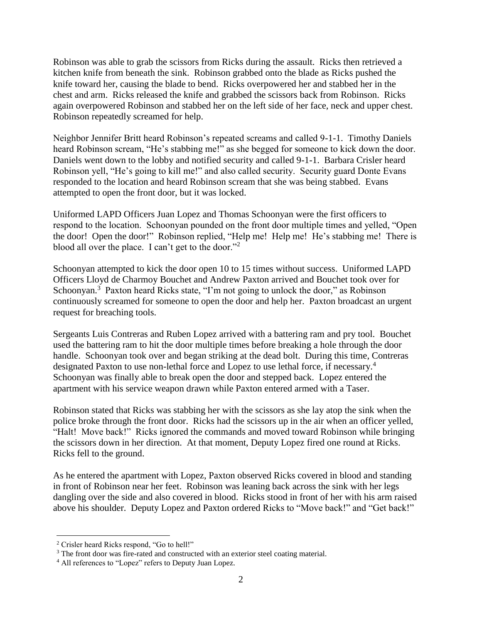Robinson was able to grab the scissors from Ricks during the assault. Ricks then retrieved a kitchen knife from beneath the sink. Robinson grabbed onto the blade as Ricks pushed the knife toward her, causing the blade to bend. Ricks overpowered her and stabbed her in the chest and arm. Ricks released the knife and grabbed the scissors back from Robinson. Ricks again overpowered Robinson and stabbed her on the left side of her face, neck and upper chest. Robinson repeatedly screamed for help.

Neighbor Jennifer Britt heard Robinson's repeated screams and called 9-1-1. Timothy Daniels heard Robinson scream, "He's stabbing me!" as she begged for someone to kick down the door. Daniels went down to the lobby and notified security and called 9-1-1. Barbara Crisler heard Robinson yell, "He's going to kill me!" and also called security. Security guard Donte Evans responded to the location and heard Robinson scream that she was being stabbed. Evans attempted to open the front door, but it was locked.

Uniformed LAPD Officers Juan Lopez and Thomas Schoonyan were the first officers to respond to the location. Schoonyan pounded on the front door multiple times and yelled, "Open the door! Open the door!" Robinson replied, "Help me! Help me! He's stabbing me! There is blood all over the place. I can't get to the door."<sup>2</sup>

Schoonyan attempted to kick the door open 10 to 15 times without success. Uniformed LAPD Officers Lloyd de Charmoy Bouchet and Andrew Paxton arrived and Bouchet took over for Schoonyan.<sup>3</sup> Paxton heard Ricks state, "I'm not going to unlock the door," as Robinson continuously screamed for someone to open the door and help her. Paxton broadcast an urgent request for breaching tools.

Sergeants Luis Contreras and Ruben Lopez arrived with a battering ram and pry tool. Bouchet used the battering ram to hit the door multiple times before breaking a hole through the door handle. Schoonyan took over and began striking at the dead bolt. During this time, Contreras designated Paxton to use non-lethal force and Lopez to use lethal force, if necessary.<sup>4</sup> Schoonyan was finally able to break open the door and stepped back. Lopez entered the apartment with his service weapon drawn while Paxton entered armed with a Taser.

Robinson stated that Ricks was stabbing her with the scissors as she lay atop the sink when the police broke through the front door. Ricks had the scissors up in the air when an officer yelled, "Halt! Move back!" Ricks ignored the commands and moved toward Robinson while bringing the scissors down in her direction. At that moment, Deputy Lopez fired one round at Ricks. Ricks fell to the ground.

As he entered the apartment with Lopez, Paxton observed Ricks covered in blood and standing in front of Robinson near her feet. Robinson was leaning back across the sink with her legs dangling over the side and also covered in blood. Ricks stood in front of her with his arm raised above his shoulder. Deputy Lopez and Paxton ordered Ricks to "Move back!" and "Get back!"

 $\overline{a}$ 

<sup>2</sup> Crisler heard Ricks respond, "Go to hell!"

<sup>&</sup>lt;sup>3</sup> The front door was fire-rated and constructed with an exterior steel coating material.

<sup>4</sup> All references to "Lopez" refers to Deputy Juan Lopez.